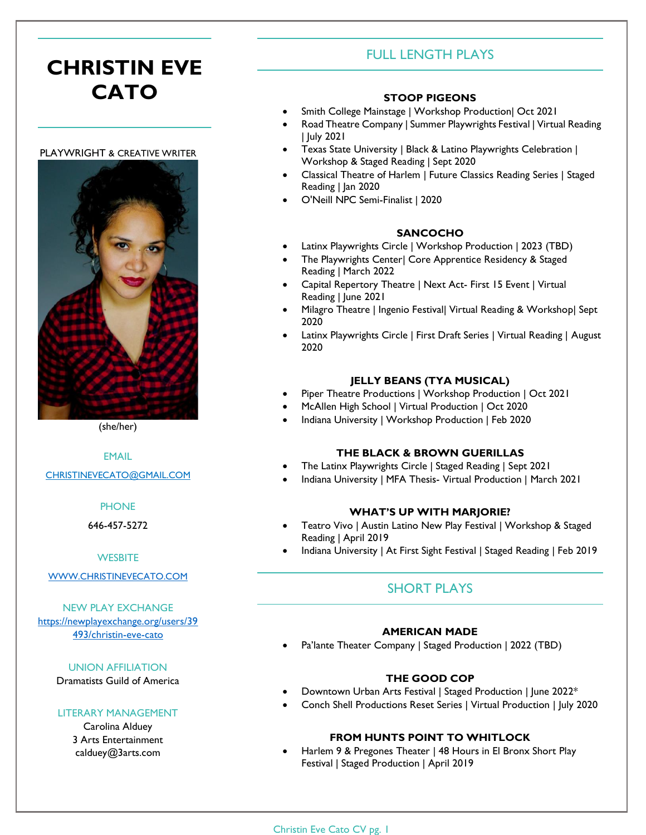# **CHRISTIN EVE CATO**

#### PLAYWRIGHT & CREATIVE WRITER



(she/her)

EMAIL

[CHRISTINEVECATO@GMAIL.COM](mailto:christinevecato@gmail.com)

#### **PHONE**

646-457-5272

#### **WESBITE**

#### [WWW.CHRISTINEVECATO.COM](http://www.christinevecato.com/)

NEW PLAY EXCHANGE [https://newplayexchange.org/users/39](https://newplayexchange.org/users/39493/christin-eve-cato) [493/christin-eve-cato](https://newplayexchange.org/users/39493/christin-eve-cato)

UNION AFFILIATION

Dramatists Guild of America

#### LITERARY MANAGEMENT

Carolina Alduey 3 Arts Entertainment calduey@3arts.com

# FULL LENGTH PLAYS

#### **STOOP PIGEONS**

- Smith College Mainstage | Workshop Production| Oct 2021
- Road Theatre Company | Summer Playwrights Festival | Virtual Reading | July 2021
- Texas State University | Black & Latino Playwrights Celebration | Workshop & Staged Reading | Sept 2020
- Classical Theatre of Harlem | Future Classics Reading Series | Staged Reading | Jan 2020
- O'Neill NPC Semi-Finalist | 2020

## **SANCOCHO**

- Latinx Playwrights Circle | Workshop Production | 2023 (TBD)
- The Playwrights Center| Core Apprentice Residency & Staged Reading | March 2022
- Capital Repertory Theatre | Next Act- First 15 Event | Virtual Reading | June 2021
- Milagro Theatre | Ingenio Festival| Virtual Reading & Workshop| Sept 2020
- Latinx Playwrights Circle | First Draft Series | Virtual Reading | August 2020

#### **JELLY BEANS (TYA MUSICAL)**

- Piper Theatre Productions | Workshop Production | Oct 2021
- McAllen High School | Virtual Production | Oct 2020
- Indiana University | Workshop Production | Feb 2020

## **THE BLACK & BROWN GUERILLAS**

- The Latinx Playwrights Circle | Staged Reading | Sept 2021
- Indiana University | MFA Thesis- Virtual Production | March 2021

#### **WHAT'S UP WITH MARJORIE?**

- Teatro Vivo | Austin Latino New Play Festival | Workshop & Staged Reading | April 2019
- Indiana University | At First Sight Festival | Staged Reading | Feb 2019

# SHORT PLAYS

#### **AMERICAN MADE**

Pa'lante Theater Company | Staged Production | 2022 (TBD)

## **THE GOOD COP**

- Downtown Urban Arts Festival | Staged Production | June 2022\*
- Conch Shell Productions Reset Series | Virtual Production | July 2020

#### **FROM HUNTS POINT TO WHITLOCK**

• Harlem 9 & Pregones Theater | 48 Hours in El Bronx Short Play Festival | Staged Production | April 2019